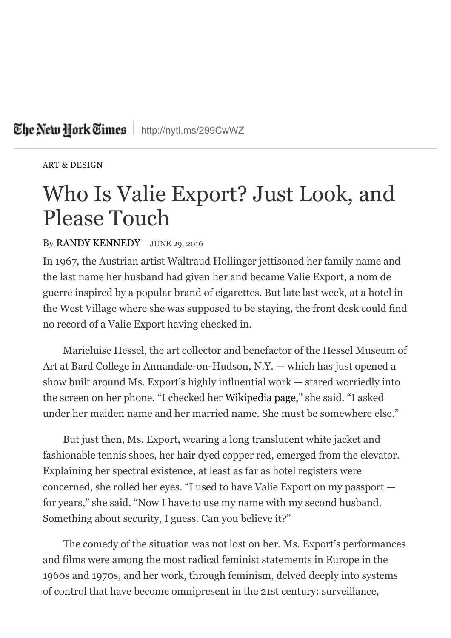## The New Hork Times | <http://nyti.ms/299CwWZ>

[ART & DESIGN](http://www.nytimes.com/section/arts/design)

## Who Is Valie Export? Just Look, and Please Touch

## By [RANDY KENNEDY](http://topics.nytimes.com/top/reference/timestopics/people/k/randy_kennedy/index.html) JUNE 29, 2016

In 1967, the Austrian artist Waltraud Hollinger jettisoned her family name and the last name her husband had given her and became Valie Export, a nom de guerre inspired by a popular brand of cigarettes. But late last week, at a hotel in the West Village where she was supposed to be staying, the front desk could find no record of a Valie Export having checked in.

Marieluise Hessel, the art collector and benefactor of the Hessel Museum of Art at Bard College in Annandale-on-Hudson, N.Y. — which has just opened a show built around Ms. Export's highly influential work — stared worriedly into the screen on her phone. "I checked her [Wikipedia page](https://en.wikipedia.org/wiki/Valie_Export)," she said. "I asked under her maiden name and her married name. She must be somewhere else."

But just then, Ms. Export, wearing a long translucent white jacket and fashionable tennis shoes, her hair dyed copper red, emerged from the elevator. Explaining her spectral existence, at least as far as hotel registers were concerned, she rolled her eyes. "I used to have Valie Export on my passport for years," she said. "Now I have to use my name with my second husband. Something about security, I guess. Can you believe it?"

The comedy of the situation was not lost on her. Ms. Export's performances and films were among the most radical feminist statements in Europe in the 1960s and 1970s, and her work, through feminism, delved deeply into systems of control that have become omnipresent in the 21st century: surveillance,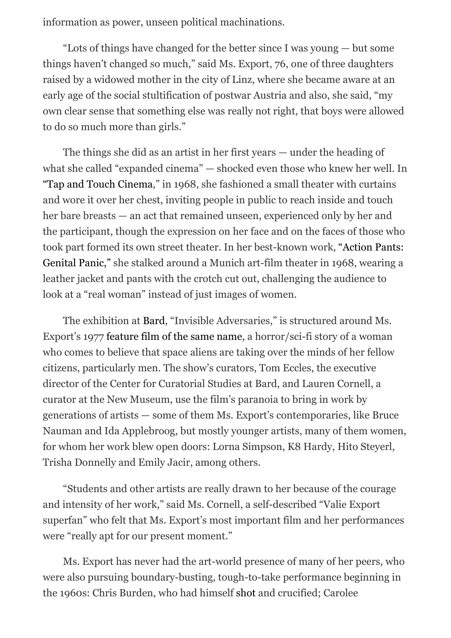information as power, unseen political machinations.

"Lots of things have changed for the better since I was young — but some things haven't changed so much," said Ms. Export, 76, one of three daughters raised by a widowed mother in the city of Linz, where she became aware at an early age of the social stultification of postwar Austria and also, she said, "my own clear sense that something else was really not right, that boys were allowed to do so much more than girls."

The things she did as an artist in her first years — under the heading of what she called "expanded cinema" — shocked even those who knew her well. In ["Tap and Touch Cinema,](http://www.moma.org/collection/works/109931?locale=en)" in 1968, she fashioned a small theater with curtains and wore it over her chest, inviting people in public to reach inside and touch her bare breasts — an act that remained unseen, experienced only by her and the participant, though the expression on her face and on the faces of those who [took part formed its own street theater. In her best-known work, "Action Pants:](http://www.tate.org.uk/art/artworks/export-action-pants-genital-panic-p79233) Genital Panic," she stalked around a Munich art-film theater in 1968, wearing a leather jacket and pants with the crotch cut out, challenging the audience to look at a "real woman" instead of just images of women.

The exhibition at [Bard,](http://www.bard.edu/ccs/exhibitions/invisible-adversaries/) "Invisible Adversaries," is structured around Ms. Export's 1977 [feature film of the same name,](https://vimeo.com/41461043) a horror/sci-fi story of a woman who comes to believe that space aliens are taking over the minds of her fellow citizens, particularly men. The show's curators, Tom Eccles, the executive director of the Center for Curatorial Studies at Bard, and Lauren Cornell, a curator at the New Museum, use the film's paranoia to bring in work by generations of artists — some of them Ms. Export's contemporaries, like Bruce Nauman and Ida Applebroog, but mostly younger artists, many of them women, for whom her work blew open doors: Lorna Simpson, K8 Hardy, Hito Steyerl, Trisha Donnelly and Emily Jacir, among others.

"Students and other artists are really drawn to her because of the courage and intensity of her work," said Ms. Cornell, a self-described "Valie Export superfan" who felt that Ms. Export's most important film and her performances were "really apt for our present moment."

Ms. Export has never had the art-world presence of many of her peers, who were also pursuing boundary-busting, tough-to-take performance beginning in the 1960s: Chris Burden, who had himself [shot](https://www.youtube.com/watch?v=26R9KFdt5aY) and crucified; Carolee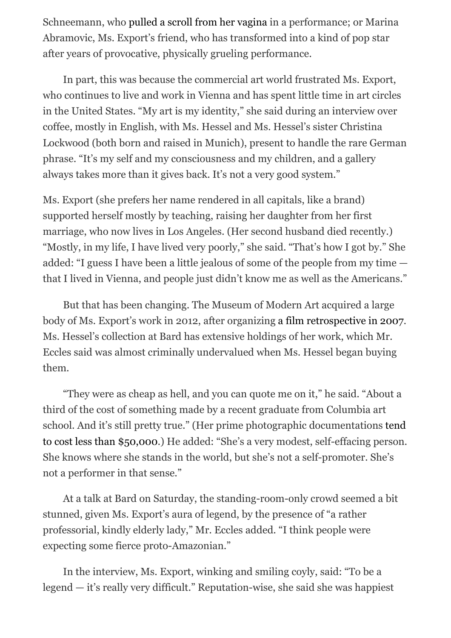Schneemann, who [pulled a scroll from her vagina](http://hyperallergic.com/232342/forty-years-of-carolee-schneemanns-interior-scroll/) in a performance; or Marina Abramovic, Ms. Export's friend, who has transformed into a kind of pop star after years of provocative, physically grueling performance.

In part, this was because the commercial art world frustrated Ms. Export, who continues to live and work in Vienna and has spent little time in art circles in the United States. "My art is my identity," she said during an interview over coffee, mostly in English, with Ms. Hessel and Ms. Hessel's sister Christina Lockwood (both born and raised in Munich), present to handle the rare German phrase. "It's my self and my consciousness and my children, and a gallery always takes more than it gives back. It's not a very good system."

Ms. Export (she prefers her name rendered in all capitals, like a brand) supported herself mostly by teaching, raising her daughter from her first marriage, who now lives in Los Angeles. (Her second husband died recently.) "Mostly, in my life, I have lived very poorly," she said. "That's how I got by." She added: "I guess I have been a little jealous of some of the people from my time that I lived in Vienna, and people just didn't know me as well as the Americans."

But that has been changing. The Museum of Modern Art acquired a large body of Ms. Export's work in 2012, after organizing [a film retrospective in 2007.](http://www.moma.org/calendar/film/519?locale=en) Ms. Hessel's collection at Bard has extensive holdings of her work, which Mr. Eccles said was almost criminally undervalued when Ms. Hessel began buying them.

"They were as cheap as hell, and you can quote me on it," he said. "About a third of the cost of something made by a recent graduate from Columbia art school. And it's still pretty true." (Her prime photographic documentations tend [to cost less than \\$50,000.\) He added: "She's a very modest, self-effacing person.](https://www.artsy.net/artist/valie-export?for_sale=true) She knows where she stands in the world, but she's not a self-promoter. She's not a performer in that sense."

At a talk at Bard on Saturday, the standing-room-only crowd seemed a bit stunned, given Ms. Export's aura of legend, by the presence of "a rather professorial, kindly elderly lady," Mr. Eccles added. "I think people were expecting some fierce proto-Amazonian."

In the interview, Ms. Export, winking and smiling coyly, said: "To be a legend — it's really very difficult." Reputation-wise, she said she was happiest